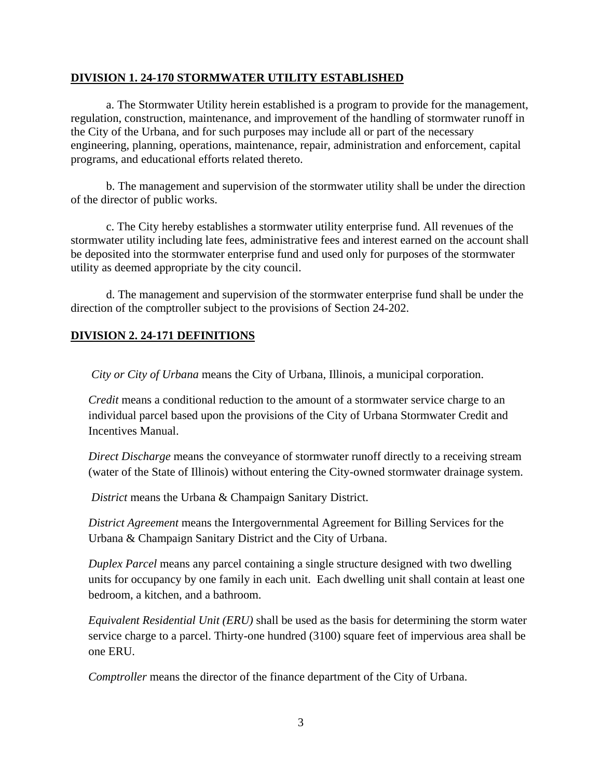#### **DIVISION 1. 24-170 STORMWATER UTILITY ESTABLISHED**

 a. The Stormwater Utility herein established is a program to provide for the management, regulation, construction, maintenance, and improvement of the handling of stormwater runoff in the City of the Urbana, and for such purposes may include all or part of the necessary engineering, planning, operations, maintenance, repair, administration and enforcement, capital programs, and educational efforts related thereto.

 b. The management and supervision of the stormwater utility shall be under the direction of the director of public works.

 c. The City hereby establishes a stormwater utility enterprise fund. All revenues of the stormwater utility including late fees, administrative fees and interest earned on the account shall be deposited into the stormwater enterprise fund and used only for purposes of the stormwater utility as deemed appropriate by the city council.

 d. The management and supervision of the stormwater enterprise fund shall be under the direction of the comptroller subject to the provisions of Section 24-202.

## **DIVISION 2. 24-171 DEFINITIONS**

*City or City of Urbana* means the City of Urbana, Illinois, a municipal corporation.

*Credit* means a conditional reduction to the amount of a stormwater service charge to an individual parcel based upon the provisions of the City of Urbana Stormwater Credit and Incentives Manual.

*Direct Discharge* means the conveyance of stormwater runoff directly to a receiving stream (water of the State of Illinois) without entering the City-owned stormwater drainage system.

*District* means the Urbana & Champaign Sanitary District.

*District Agreement* means the Intergovernmental Agreement for Billing Services for the Urbana & Champaign Sanitary District and the City of Urbana.

*Duplex Parcel* means any parcel containing a single structure designed with two dwelling units for occupancy by one family in each unit. Each dwelling unit shall contain at least one bedroom, a kitchen, and a bathroom.

*Equivalent Residential Unit (ERU)* shall be used as the basis for determining the storm water service charge to a parcel. Thirty-one hundred (3100) square feet of impervious area shall be one ERU.

*Comptroller* means the director of the finance department of the City of Urbana.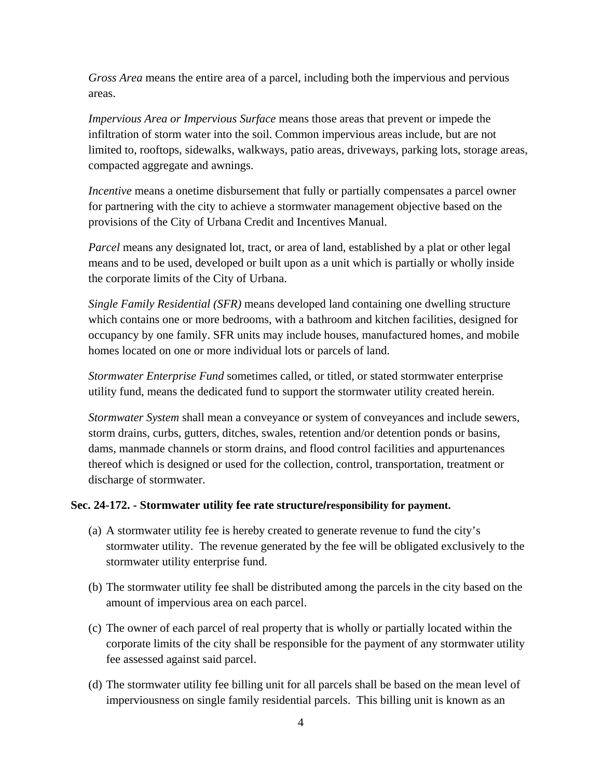*Gross Area* means the entire area of a parcel, including both the impervious and pervious areas.

*Impervious Area or Impervious Surface* means those areas that prevent or impede the infiltration of storm water into the soil. Common impervious areas include, but are not limited to, rooftops, sidewalks, walkways, patio areas, driveways, parking lots, storage areas, compacted aggregate and awnings.

*Incentive* means a onetime disbursement that fully or partially compensates a parcel owner for partnering with the city to achieve a stormwater management objective based on the provisions of the City of Urbana Credit and Incentives Manual.

*Parcel* means any designated lot, tract, or area of land, established by a plat or other legal means and to be used, developed or built upon as a unit which is partially or wholly inside the corporate limits of the City of Urbana.

*Single Family Residential (SFR)* means developed land containing one dwelling structure which contains one or more bedrooms, with a bathroom and kitchen facilities, designed for occupancy by one family. SFR units may include houses, manufactured homes, and mobile homes located on one or more individual lots or parcels of land.

*Stormwater Enterprise Fund* sometimes called, or titled, or stated stormwater enterprise utility fund, means the dedicated fund to support the stormwater utility created herein.

*Stormwater System* shall mean a conveyance or system of conveyances and include sewers, storm drains, curbs, gutters, ditches, swales, retention and/or detention ponds or basins, dams, manmade channels or storm drains, and flood control facilities and appurtenances thereof which is designed or used for the collection, control, transportation, treatment or discharge of stormwater.

## **Sec. 24-172. - Stormwater utility fee rate structure/responsibility for payment.**

- (a) A stormwater utility fee is hereby created to generate revenue to fund the city's stormwater utility. The revenue generated by the fee will be obligated exclusively to the stormwater utility enterprise fund.
- (b) The stormwater utility fee shall be distributed among the parcels in the city based on the amount of impervious area on each parcel.
- (c) The owner of each parcel of real property that is wholly or partially located within the corporate limits of the city shall be responsible for the payment of any stormwater utility fee assessed against said parcel.
- (d) The stormwater utility fee billing unit for all parcels shall be based on the mean level of imperviousness on single family residential parcels. This billing unit is known as an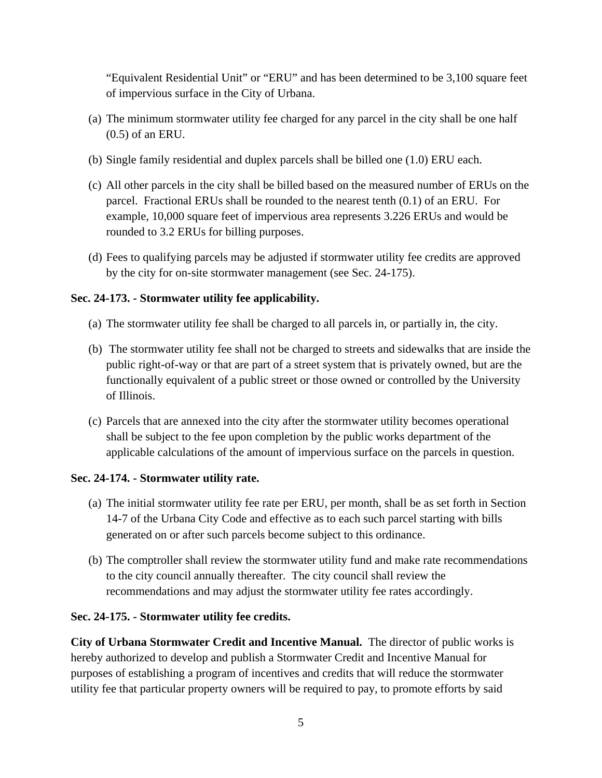"Equivalent Residential Unit" or "ERU" and has been determined to be 3,100 square feet of impervious surface in the City of Urbana.

- (a) The minimum stormwater utility fee charged for any parcel in the city shall be one half (0.5) of an ERU.
- (b) Single family residential and duplex parcels shall be billed one (1.0) ERU each.
- (c) All other parcels in the city shall be billed based on the measured number of ERUs on the parcel. Fractional ERUs shall be rounded to the nearest tenth (0.1) of an ERU. For example, 10,000 square feet of impervious area represents 3.226 ERUs and would be rounded to 3.2 ERUs for billing purposes.
- (d) Fees to qualifying parcels may be adjusted if stormwater utility fee credits are approved by the city for on-site stormwater management (see Sec. 24-175).

# **Sec. 24-173. - Stormwater utility fee applicability.**

- (a) The stormwater utility fee shall be charged to all parcels in, or partially in, the city.
- (b) The stormwater utility fee shall not be charged to streets and sidewalks that are inside the public right-of-way or that are part of a street system that is privately owned, but are the functionally equivalent of a public street or those owned or controlled by the University of Illinois.
- (c) Parcels that are annexed into the city after the stormwater utility becomes operational shall be subject to the fee upon completion by the public works department of the applicable calculations of the amount of impervious surface on the parcels in question.

# **Sec. 24-174. - Stormwater utility rate.**

- (a) The initial stormwater utility fee rate per ERU, per month, shall be as set forth in Section 14-7 of the Urbana City Code and effective as to each such parcel starting with bills generated on or after such parcels become subject to this ordinance.
- (b) The comptroller shall review the stormwater utility fund and make rate recommendations to the city council annually thereafter. The city council shall review the recommendations and may adjust the stormwater utility fee rates accordingly.

# **Sec. 24-175. - Stormwater utility fee credits.**

**City of Urbana Stormwater Credit and Incentive Manual.** The director of public works is hereby authorized to develop and publish a Stormwater Credit and Incentive Manual for purposes of establishing a program of incentives and credits that will reduce the stormwater utility fee that particular property owners will be required to pay, to promote efforts by said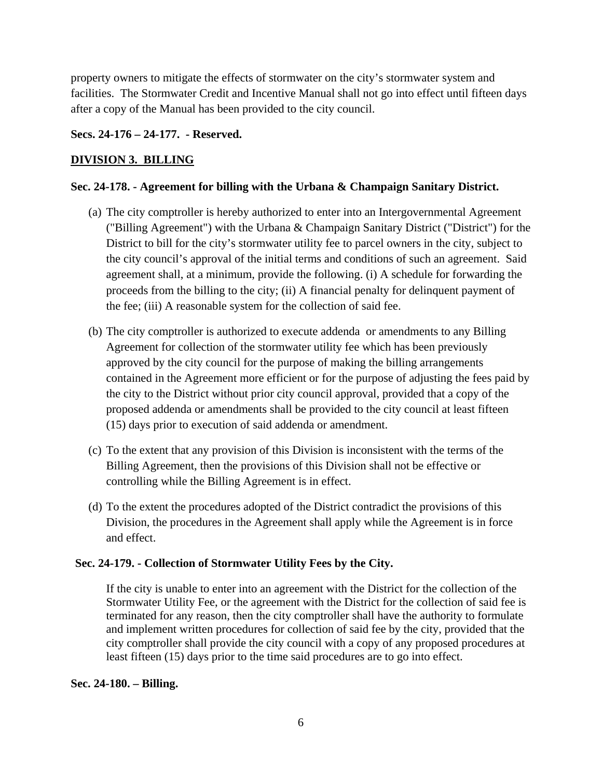property owners to mitigate the effects of stormwater on the city's stormwater system and facilities. The Stormwater Credit and Incentive Manual shall not go into effect until fifteen days after a copy of the Manual has been provided to the city council.

## **Secs. 24-176 – 24-177. - Reserved.**

## **DIVISION 3. BILLING**

## **Sec. 24-178. - Agreement for billing with the Urbana & Champaign Sanitary District.**

- (a) The city comptroller is hereby authorized to enter into an Intergovernmental Agreement ("Billing Agreement") with the Urbana & Champaign Sanitary District ("District") for the District to bill for the city's stormwater utility fee to parcel owners in the city, subject to the city council's approval of the initial terms and conditions of such an agreement. Said agreement shall, at a minimum, provide the following. (i) A schedule for forwarding the proceeds from the billing to the city; (ii) A financial penalty for delinquent payment of the fee; (iii) A reasonable system for the collection of said fee.
- (b) The city comptroller is authorized to execute addenda or amendments to any Billing Agreement for collection of the stormwater utility fee which has been previously approved by the city council for the purpose of making the billing arrangements contained in the Agreement more efficient or for the purpose of adjusting the fees paid by the city to the District without prior city council approval, provided that a copy of the proposed addenda or amendments shall be provided to the city council at least fifteen (15) days prior to execution of said addenda or amendment.
- (c) To the extent that any provision of this Division is inconsistent with the terms of the Billing Agreement, then the provisions of this Division shall not be effective or controlling while the Billing Agreement is in effect.
- (d) To the extent the procedures adopted of the District contradict the provisions of this Division, the procedures in the Agreement shall apply while the Agreement is in force and effect.

## **Sec. 24-179. - Collection of Stormwater Utility Fees by the City.**

If the city is unable to enter into an agreement with the District for the collection of the Stormwater Utility Fee, or the agreement with the District for the collection of said fee is terminated for any reason, then the city comptroller shall have the authority to formulate and implement written procedures for collection of said fee by the city, provided that the city comptroller shall provide the city council with a copy of any proposed procedures at least fifteen (15) days prior to the time said procedures are to go into effect.

## **Sec. 24-180. – Billing.**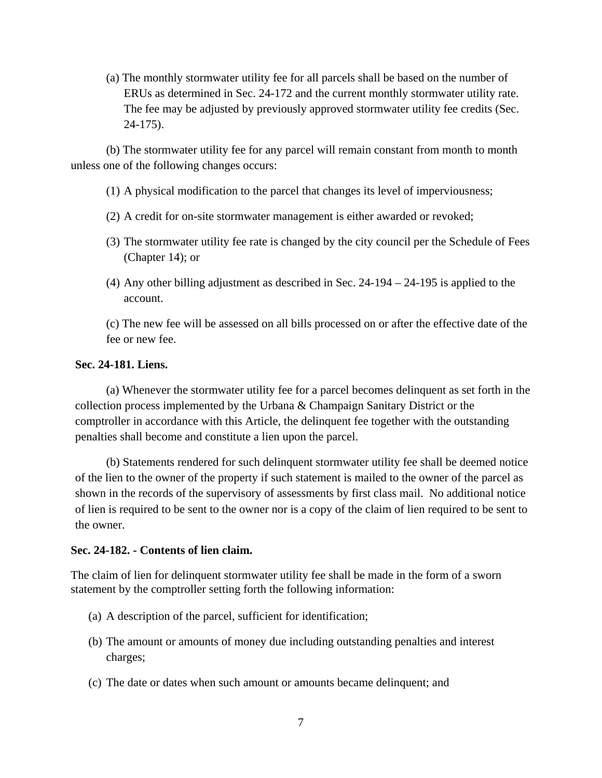(a) The monthly stormwater utility fee for all parcels shall be based on the number of ERUs as determined in Sec. 24-172 and the current monthly stormwater utility rate. The fee may be adjusted by previously approved stormwater utility fee credits (Sec. 24-175).

 (b) The stormwater utility fee for any parcel will remain constant from month to month unless one of the following changes occurs:

- (1) A physical modification to the parcel that changes its level of imperviousness;
- (2) A credit for on-site stormwater management is either awarded or revoked;
- (3) The stormwater utility fee rate is changed by the city council per the Schedule of Fees (Chapter 14); or
- (4) Any other billing adjustment as described in Sec. 24-194 24-195 is applied to the account.

(c) The new fee will be assessed on all bills processed on or after the effective date of the fee or new fee.

#### **Sec. 24-181. Liens.**

 (a) Whenever the stormwater utility fee for a parcel becomes delinquent as set forth in the collection process implemented by the Urbana & Champaign Sanitary District or the comptroller in accordance with this Article, the delinquent fee together with the outstanding penalties shall become and constitute a lien upon the parcel.

 (b) Statements rendered for such delinquent stormwater utility fee shall be deemed notice of the lien to the owner of the property if such statement is mailed to the owner of the parcel as shown in the records of the supervisory of assessments by first class mail. No additional notice of lien is required to be sent to the owner nor is a copy of the claim of lien required to be sent to the owner.

#### **Sec. 24-182. - Contents of lien claim.**

The claim of lien for delinquent stormwater utility fee shall be made in the form of a sworn statement by the comptroller setting forth the following information:

- (a) A description of the parcel, sufficient for identification;
- (b) The amount or amounts of money due including outstanding penalties and interest charges;
- (c) The date or dates when such amount or amounts became delinquent; and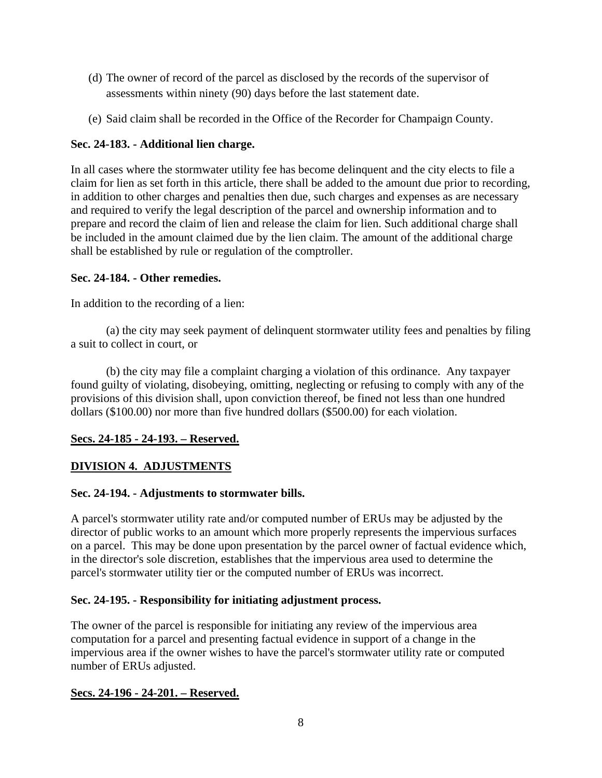- (d) The owner of record of the parcel as disclosed by the records of the supervisor of assessments within ninety (90) days before the last statement date.
- (e) Said claim shall be recorded in the Office of the Recorder for Champaign County.

## **Sec. 24-183. - Additional lien charge.**

In all cases where the stormwater utility fee has become delinquent and the city elects to file a claim for lien as set forth in this article, there shall be added to the amount due prior to recording, in addition to other charges and penalties then due, such charges and expenses as are necessary and required to verify the legal description of the parcel and ownership information and to prepare and record the claim of lien and release the claim for lien. Such additional charge shall be included in the amount claimed due by the lien claim. The amount of the additional charge shall be established by rule or regulation of the comptroller.

## **Sec. 24-184. - Other remedies.**

In addition to the recording of a lien:

 (a) the city may seek payment of delinquent stormwater utility fees and penalties by filing a suit to collect in court, or

 (b) the city may file a complaint charging a violation of this ordinance. Any taxpayer found guilty of violating, disobeying, omitting, neglecting or refusing to comply with any of the provisions of this division shall, upon conviction thereof, be fined not less than one hundred dollars (\$100.00) nor more than five hundred dollars (\$500.00) for each violation.

# **Secs. 24-185 - 24-193. – Reserved.**

## **DIVISION 4. ADJUSTMENTS**

## **Sec. 24-194. - Adjustments to stormwater bills.**

A parcel's stormwater utility rate and/or computed number of ERUs may be adjusted by the director of public works to an amount which more properly represents the impervious surfaces on a parcel. This may be done upon presentation by the parcel owner of factual evidence which, in the director's sole discretion, establishes that the impervious area used to determine the parcel's stormwater utility tier or the computed number of ERUs was incorrect.

## **Sec. 24-195. - Responsibility for initiating adjustment process.**

The owner of the parcel is responsible for initiating any review of the impervious area computation for a parcel and presenting factual evidence in support of a change in the impervious area if the owner wishes to have the parcel's stormwater utility rate or computed number of ERUs adjusted.

## **Secs. 24-196 - 24-201. – Reserved.**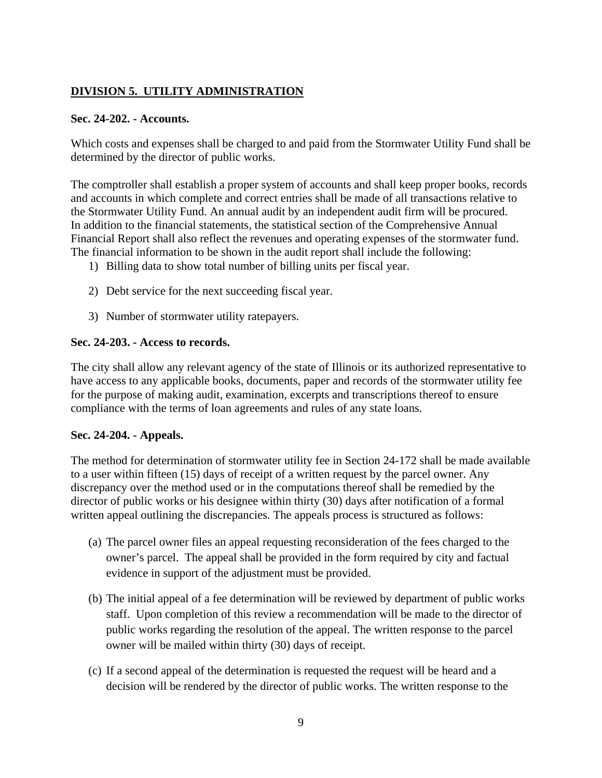# **DIVISION 5. UTILITY ADMINISTRATION**

## **Sec. 24-202. - Accounts.**

Which costs and expenses shall be charged to and paid from the Stormwater Utility Fund shall be determined by the director of public works.

The comptroller shall establish a proper system of accounts and shall keep proper books, records and accounts in which complete and correct entries shall be made of all transactions relative to the Stormwater Utility Fund. An annual audit by an independent audit firm will be procured. In addition to the financial statements, the statistical section of the Comprehensive Annual Financial Report shall also reflect the revenues and operating expenses of the stormwater fund. The financial information to be shown in the audit report shall include the following:

- 1) Billing data to show total number of billing units per fiscal year.
- 2) Debt service for the next succeeding fiscal year.
- 3) Number of stormwater utility ratepayers.

## **Sec. 24-203. - Access to records.**

The city shall allow any relevant agency of the state of Illinois or its authorized representative to have access to any applicable books, documents, paper and records of the stormwater utility fee for the purpose of making audit, examination, excerpts and transcriptions thereof to ensure compliance with the terms of loan agreements and rules of any state loans.

# **Sec. 24-204. - Appeals.**

The method for determination of stormwater utility fee in Section 24-172 shall be made available to a user within fifteen (15) days of receipt of a written request by the parcel owner. Any discrepancy over the method used or in the computations thereof shall be remedied by the director of public works or his designee within thirty (30) days after notification of a formal written appeal outlining the discrepancies. The appeals process is structured as follows:

- (a) The parcel owner files an appeal requesting reconsideration of the fees charged to the owner's parcel. The appeal shall be provided in the form required by city and factual evidence in support of the adjustment must be provided.
- (b) The initial appeal of a fee determination will be reviewed by department of public works staff. Upon completion of this review a recommendation will be made to the director of public works regarding the resolution of the appeal. The written response to the parcel owner will be mailed within thirty (30) days of receipt.
- (c) If a second appeal of the determination is requested the request will be heard and a decision will be rendered by the director of public works. The written response to the